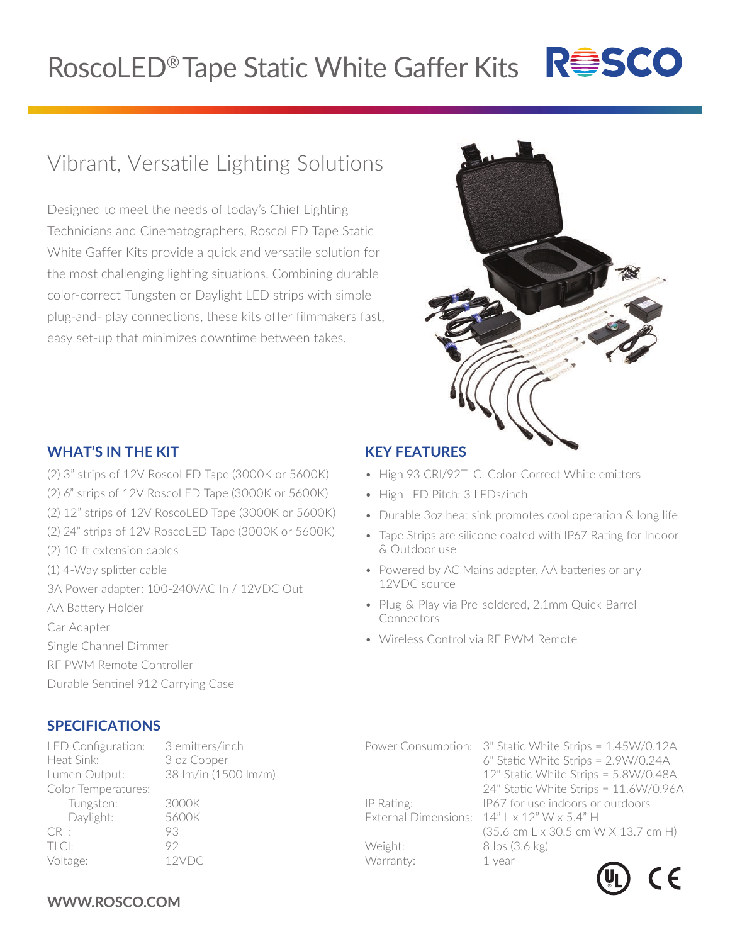# RoscoLED® Tape Static White Gaffer Kits R<sup>es</sup>SCO

## Vibrant, Versatile Lighting Solutions

Designed to meet the needs of today's Chief Lighting Technicians and Cinematographers, RoscoLED Tape Static White Gaffer Kits provide a quick and versatile solution for the most challenging lighting situations. Combining durable color-correct Tungsten or Daylight LED strips with simple plug-and- play connections, these kits offer filmmakers fast, easy set-up that minimizes downtime between takes.



#### **WHAT'S IN THE KIT**

- (2) 3" strips of 12V RoscoLED Tape (3000K or 5600K)
- (2) 6" strips of 12V RoscoLED Tape (3000K or 5600K)
- (2) 12" strips of 12V RoscoLED Tape (3000K or 5600K)
- (2) 24" strips of 12V RoscoLED Tape (3000K or 5600K)
- (2) 10-ft extension cables
- (1) 4-Way splitter cable
- 3A Power adapter: 100-240VAC In / 12VDC Out
- AA Battery Holder
- Car Adapter
- Single Channel Dimmer
- RF PWM Remote Controller
- Durable Sentinel 912 Carrying Case

### **SPECIFICATIONS**

LED Configuration: 3 emitters/inch Heat Sink: 3 oz Copper Lumen Output: 38 lm/in (1500 lm/m) Color Temperatures: Tungsten: 3000K Daylight: 5600K CRI : 93 TLCI: 92 Voltage: 12VDC

#### **KEY FEATURES**

- High 93 CRI/92TLCI Color-Correct White emitters
- High LED Pitch: 3 LEDs/inch
- Durable 3oz heat sink promotes cool operation & long life
- Tape Strips are silicone coated with IP67 Rating for Indoor & Outdoor use
- Powered by AC Mains adapter, AA batteries or any 12VDC source
- Plug-&-Play via Pre-soldered, 2.1mm Quick-Barrel Connectors
- Wireless Control via RF PWM Remote

|            | Power Consumption: 3" Static White Strips = 1.45W/0.12A |
|------------|---------------------------------------------------------|
|            | 6" Static White Strips = 2.9W/0.24A                     |
|            | 12" Static White Strips = 5.8W/0.48A                    |
|            | 24" Static White Strips = 11.6W/0.96A                   |
| IP Rating: | IP67 for use indoors or outdoors                        |
|            | External Dimensions: $14"$ L x $12"$ W x 5.4" H         |
|            | (35.6 cm L x 30.5 cm W X 13.7 cm H)                     |
| Weight:    | 8 lbs (3.6 kg)                                          |
| Warranty:  | 1 year                                                  |
|            |                                                         |



### WWW.ROSCO.COM